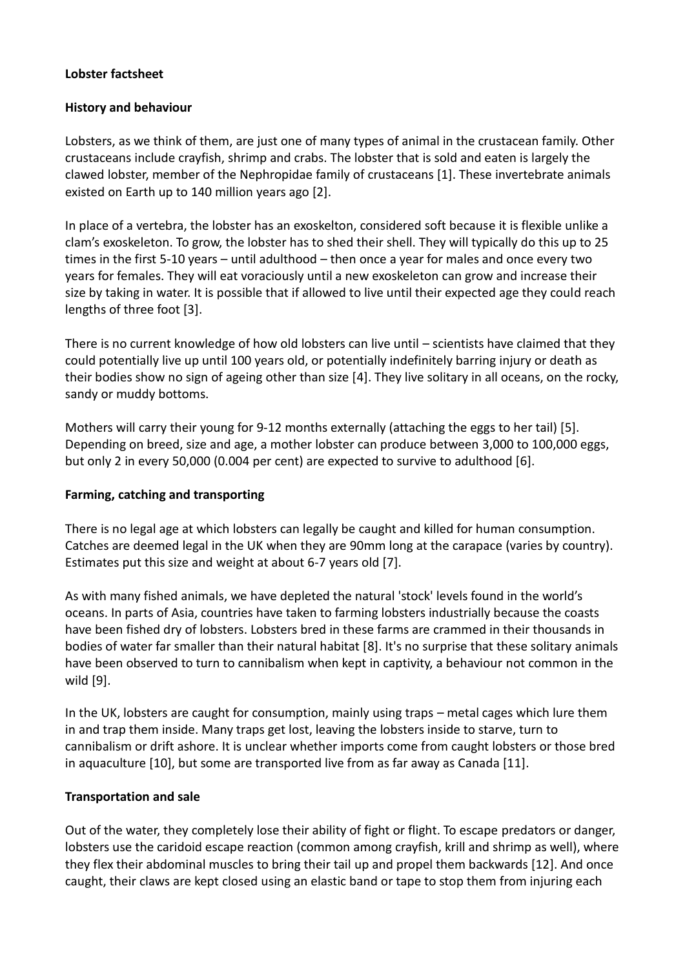## **Lobster factsheet**

### **History and behaviour**

Lobsters, as we think of them, are just one of many types of animal in the crustacean family. Other crustaceans include crayfish, shrimp and crabs. The lobster that is sold and eaten is largely the clawed lobster, member of the Nephropidae family of crustaceans [1]. These invertebrate animals existed on Earth up to 140 million years ago [2].

In place of a vertebra, the lobster has an exoskelton, considered soft because it is flexible unlike a clam's exoskeleton. To grow, the lobster has to shed their shell. They will typically do this up to 25 times in the first 5-10 years – until adulthood – then once a year for males and once every two years for females. They will eat voraciously until a new exoskeleton can grow and increase their size by taking in water. It is possible that if allowed to live until their expected age they could reach lengths of three foot [3].

There is no current knowledge of how old lobsters can live until – scientists have claimed that they could potentially live up until 100 years old, or potentially indefinitely barring injury or death as their bodies show no sign of ageing other than size [4]. They live solitary in all oceans, on the rocky, sandy or muddy bottoms.

Mothers will carry their young for 9-12 months externally (attaching the eggs to her tail) [5]. Depending on breed, size and age, a mother lobster can produce between 3,000 to 100,000 eggs, but only 2 in every 50,000 (0.004 per cent) are expected to survive to adulthood [6].

## **Farming, catching and transporting**

There is no legal age at which lobsters can legally be caught and killed for human consumption. Catches are deemed legal in the UK when they are 90mm long at the carapace (varies by country). Estimates put this size and weight at about 6-7 years old [7].

As with many fished animals, we have depleted the natural 'stock' levels found in the world's oceans. In parts of Asia, countries have taken to farming lobsters industrially because the coasts have been fished dry of lobsters. Lobsters bred in these farms are crammed in their thousands in bodies of water far smaller than their natural habitat [8]. It's no surprise that these solitary animals have been observed to turn to cannibalism when kept in captivity, a behaviour not common in the wild [9].

In the UK, lobsters are caught for consumption, mainly using traps – metal cages which lure them in and trap them inside. Many traps get lost, leaving the lobsters inside to starve, turn to cannibalism or drift ashore. It is unclear whether imports come from caught lobsters or those bred in aquaculture [10], but some are transported live from as far away as Canada [11].

#### **Transportation and sale**

Out of the water, they completely lose their ability of fight or flight. To escape predators or danger, lobsters use the caridoid escape reaction (common among crayfish, krill and shrimp as well), where they flex their abdominal muscles to bring their tail up and propel them backwards [12]. And once caught, their claws are kept closed using an elastic band or tape to stop them from injuring each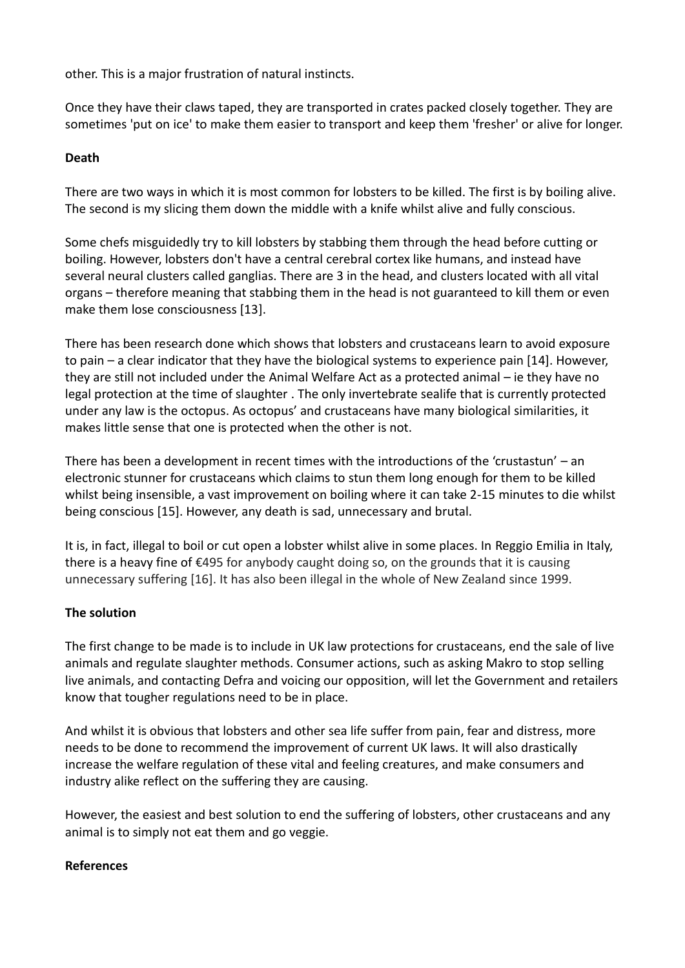other. This is a major frustration of natural instincts.

Once they have their claws taped, they are transported in crates packed closely together. They are sometimes 'put on ice' to make them easier to transport and keep them 'fresher' or alive for longer.

## **Death**

There are two ways in which it is most common for lobsters to be killed. The first is by boiling alive. The second is my slicing them down the middle with a knife whilst alive and fully conscious.

Some chefs misguidedly try to kill lobsters by stabbing them through the head before cutting or boiling. However, lobsters don't have a central cerebral cortex like humans, and instead have several neural clusters called ganglias. There are 3 in the head, and clusters located with all vital organs – therefore meaning that stabbing them in the head is not guaranteed to kill them or even make them lose consciousness [13].

There has been research done which shows that lobsters and crustaceans learn to avoid exposure to pain – a clear indicator that they have the biological systems to experience pain [14]. However, they are still not included under the Animal Welfare Act as a protected animal – ie they have no legal protection at the time of slaughter . The only invertebrate sealife that is currently protected under any law is the octopus. As octopus' and crustaceans have many biological similarities, it makes little sense that one is protected when the other is not.

There has been a development in recent times with the introductions of the 'crustastun' – an electronic stunner for crustaceans which claims to stun them long enough for them to be killed whilst being insensible, a vast improvement on boiling where it can take 2-15 minutes to die whilst being conscious [15]. However, any death is sad, unnecessary and brutal.

It is, in fact, illegal to boil or cut open a lobster whilst alive in some places. In Reggio Emilia in Italy, there is a heavy fine of €495 for anybody caught doing so, on the grounds that it is causing unnecessary suffering [16]. It has also been illegal in the whole of New Zealand since 1999.

# **The solution**

The first change to be made is to include in UK law protections for crustaceans, end the sale of live animals and regulate slaughter methods. Consumer actions, such as asking Makro to stop selling live animals, and contacting Defra and voicing our opposition, will let the Government and retailers know that tougher regulations need to be in place.

And whilst it is obvious that lobsters and other sea life suffer from pain, fear and distress, more needs to be done to recommend the improvement of current UK laws. It will also drastically increase the welfare regulation of these vital and feeling creatures, and make consumers and industry alike reflect on the suffering they are causing.

However, the easiest and best solution to end the suffering of lobsters, other crustaceans and any animal is to simply not eat them and go veggie.

## **References**